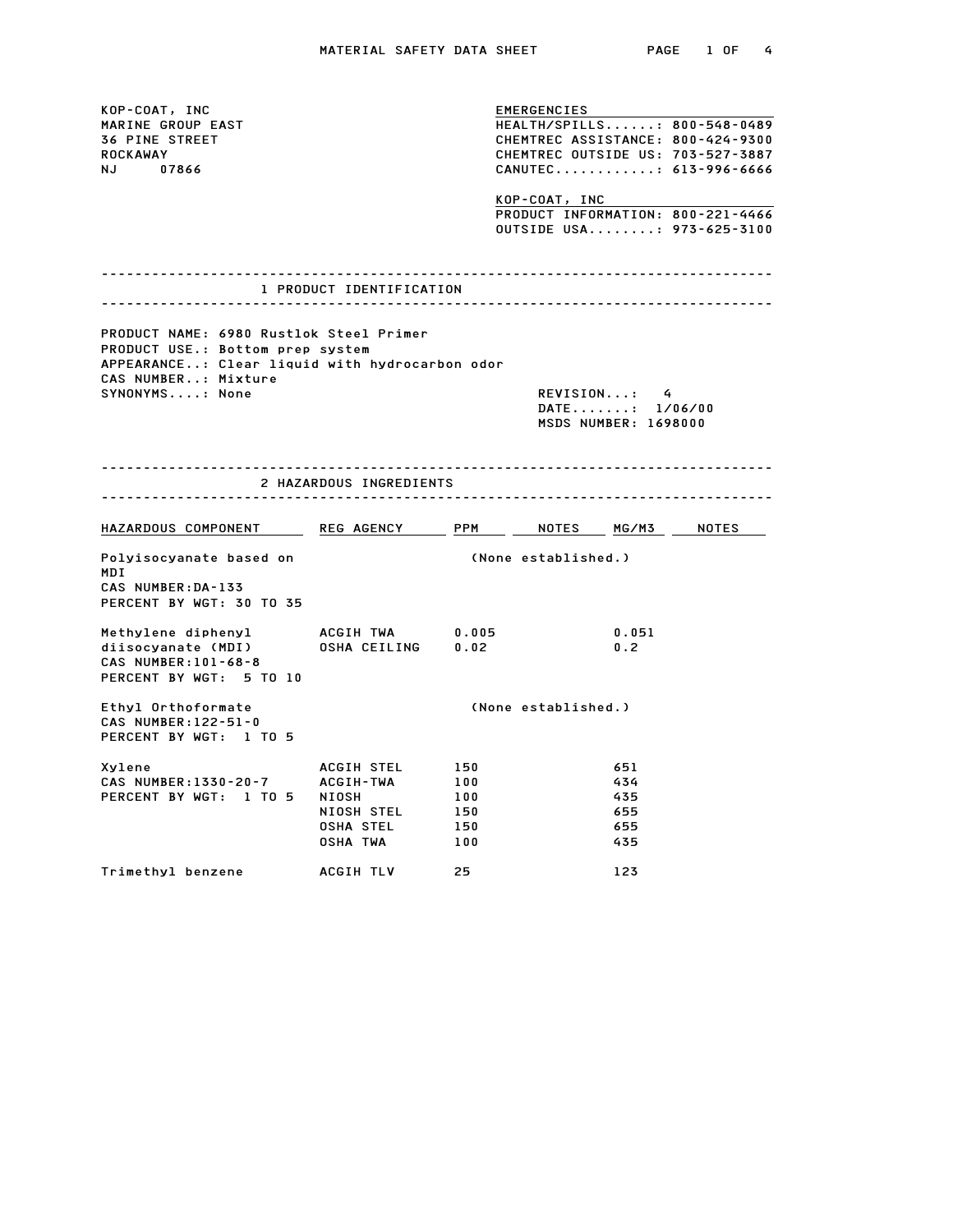KOP-COAT, INC<br>
EMERGENCIES EMERGENCIES<br>MARINE GROUP EAST THEALTH/SPILLS......: 800-548-0489<br>TALINE STREET EMERGENCIES<br>1969 MARINE GROUP EAST<br>36 PINE STREET CHEMTREC ASSISTANCE: 800-548-0489<br>26 PINE STREET CHEMTREC ASSISTANCE: 800-424-9300 ROCKAWAY CHEMTREC OUTSIDE US: 703-527-3887 NJ 07866<br>
NJ 07866 CANUTEC.............: 613-996-6666<br>
KOP-COAT, INC CANUTEC............: 613-996-6666<br><u>KOP-COAT, INC<br>PRODUCT INFORMATION: 800-221-4466</u> <u>KOP-COAT, INC<br>PRODUCT INFORMATION: 800–221–4466</u><br>OUTSIDE USA........: 973–625–3100 -------------------------------------------------------------------------------- 1 PRODUCT IDENTIFICATION -------------------------------------------------------------------------------- PRODUCT NAME: 6980 Rustlok Steel Primer PRODUCT NAME: 6980 Rustlok Steel Pr<br>PRODUCT USE.: Bottom prep system<br>PRODUCT USE.: Bottom prep system APPEARANCE..: Clear liquid with hydrocarbon odor PRODUCT USE.: Bottom prep system SYNONYMS....: None REVISION...: 4 DATE.......: 1/06/00 REVISION...: 4<br>DATE.......: 1/06/00<br>MSDS NUMBER: 1698000 -------------------------------------------------------------------------------- 2 HAZARDOUS INGREDIENTS -------------------------------------------------------------------------------- HAZARDOUS COMPONENT REG AGENCY PPM NOTES MG/M3 NOTES Polyisocyanate based on (None established.) MDI Polyisocyanate based on<br>MDI<br>CAS NUMBER:DA-133 PERCENT BY WGT: 30 TO 35 Methylene diphenyl ACGIH TWA 0.005 0.051 diisocyanate (MDI) OSHA CEILING 0.02 0.2 Methylene diphenyl<br>diisocyanate (MDI)<br>CAS NUMBER:101-68-8 PERCENT BY WGT: 5 TO 10 Ethyl Orthoformate (None established.) Ethyl Orthoformate<br>CAS NUMBER:122-51-0 PERCENT BY WGT: 1 TO 5 Xylene ACGIH STEL <sup>150</sup> <sup>651</sup> CAS NUMBER:1330-20-7 ACGIH-TWA <sup>100</sup> <sup>434</sup> PERCENT BY WGT: 1 TO 5 NIOSH <sup>100</sup> <sup>435</sup> ACGIH-TWA 150 651<br>ACGIH-TWA 100 434<br>NIOSH 100 435<br>NIOSH STEL 150 655 ACUTATINA 100<br>
NIOSH 100 435<br>
NIOSH STEL 150 655<br>
OSHA STEL 150 655 NIOSH STEL 150<br>
NIOSH STEL 150 655<br>
OSHA TWA 100 435 دوه محمد دون العالمية بين العالمية بين العالمية بين العالمية بين العالمية بين العالمية بين العالمية بين العالم<br>Trimethylbenzene ACGIH TLV 25 123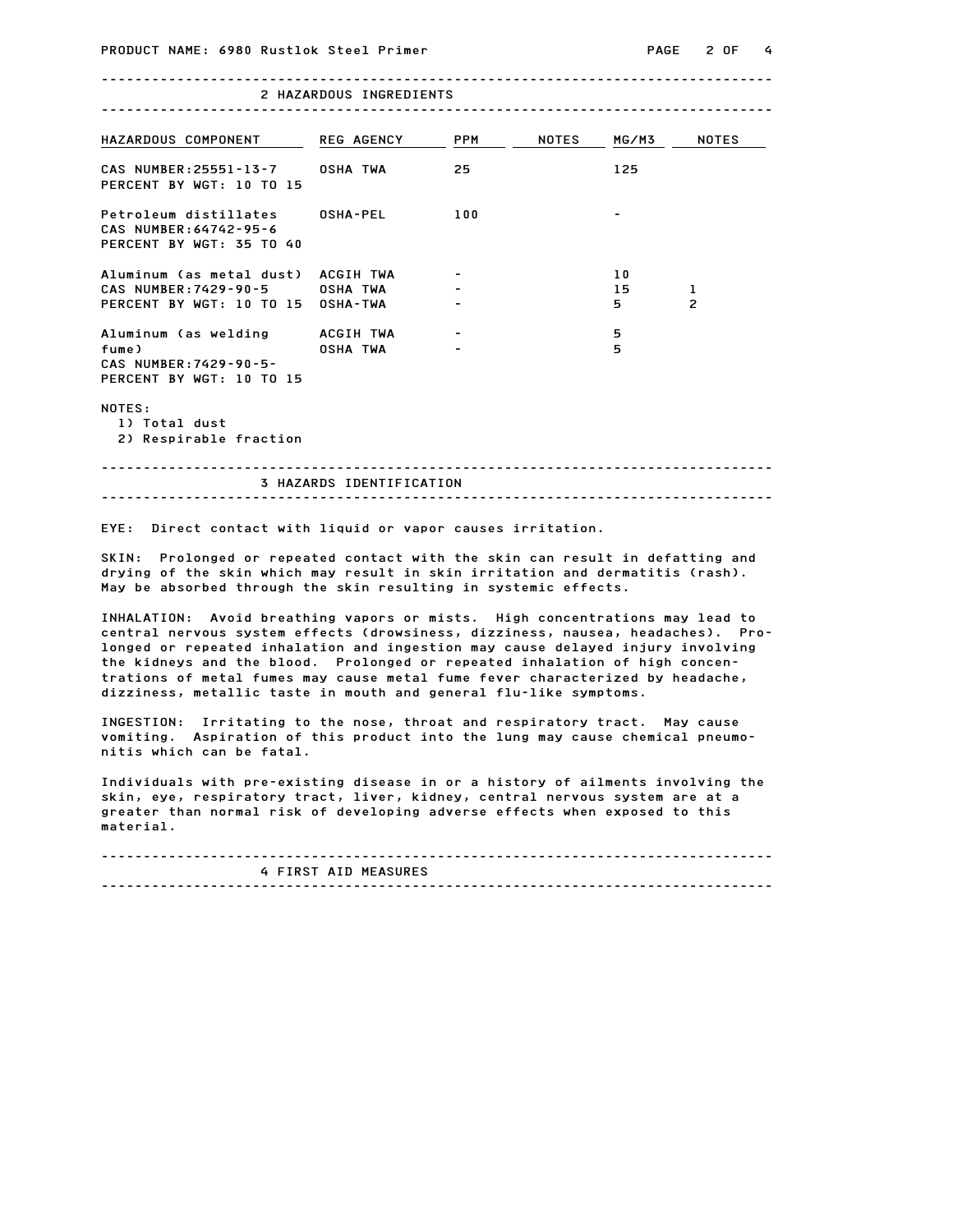## -------------------------------------------------------------------------------- RUSTIOK STEEL PRIMER<br>--------------------------<br>2 HAZARDOUS INGREDIENTS

| L NALARDOUS INGREDIENTS                                                     |                   |                          |              |       |                          |  |
|-----------------------------------------------------------------------------|-------------------|--------------------------|--------------|-------|--------------------------|--|
| HAZARDOUS COMPONENT                                                         | <b>REG AGENCY</b> | <b>PPM</b>               | <b>NOTES</b> | MG/M3 | <b>NOTES</b>             |  |
| CAS NUMBER: 25551-13-7<br>PERCENT BY WGT: 10 TO 15                          | <b>OSHA TWA</b>   | 25                       |              | 125   |                          |  |
| Petroleum distillates<br>CAS NUMBER: 64742-95-6<br>PERCENT BY WGT: 35 TO 40 | <b>OSHA-PEL</b>   | 100                      |              |       |                          |  |
| Aluminum (as metal dust)                                                    | ACGIH TWA         |                          |              | 10    |                          |  |
| CAS NUMBER: 7429-90-5                                                       | <b>OSHA TWA</b>   | $\blacksquare$           |              | 15    | 1                        |  |
| PERCENT BY WGT: 10 TO 15                                                    | <b>OSHA-TWA</b>   | $\overline{\phantom{a}}$ |              | 5     | $\overline{\phantom{0}}$ |  |
| Aluminum (as welding                                                        | ACGIH TWA         |                          |              | 5     |                          |  |
| fume)<br>CAS NUMBER: 7429-90-5-<br>PERCENT BY WGT: 10 TO 15                 | <b>OSHA TWA</b>   | -                        |              | 5     |                          |  |

NOTES:

1) Total dust

2) Respirable fraction

-------------------------------------------------------------------------------- CLION<br>----------------------------<br>3 HAZARDS IDENTIFICATION -------------------------------------------------------------------------------- EYE: Direct contact with liquid or vapor causes irritation.

EYE: Direct contact with liquid or vapor causes irritation.<br>SKIN: Prolonged or repeated contact with the skin can result in defatting and<br>devias Prolonged or repeated contact with institution red demotifies (resh) ere: Direct contact with iiguid or vapor causes irritation.<br>SKIN: Prolonged or repeated contact with the skin can result in defatting and<br>drying of the skin which may result in skin irritation and dermatitis (rash). SKIN: Prolonged or repeated contact with the skin can result in d<br>drying of the skin which may result in skin irritation and dermati<br>May be absorbed through the skin resulting in systemic effects. drying of the skin which may result in skin irritation and dermatitis (rash).<br>May be absorbed through the skin resulting in systemic effects.<br>INHALATION: Avoid breathing vapors or mists. High concentrations may lead to

may be absorbed through the skin resulting in systemic errects.<br>INHALATION: Avoid breathing vapors or mists. High concentrations may lead to<br>central nervous system effects (drowsiness, dizziness, nausea, headaches). Pro-INHALATION: Avoid breathing vapors or mists. High concentrations may lead to<br>central nervous system effects (drowsiness, dizziness, nausea, headaches). Pro-<br>longed or repeated inhalation and ingestion may cause delayed inj the kidneys and the blood. Prolonged or repeated inhalations was leadered.<br>The kidneys and the blood. Prolonged or repeated inhalation of high concen-<br>the kidneys and the blood. Prolonged or repeated inhalation of high con longed or repeated inhalation and ingestion may cause delayed injury involving<br>the kidneys and the blood. Prolonged or repeated inhalation of high concen-<br>trations of metal fumes may cause metal fume fever characterized by trations of metal fumes may cause metal fume fever characterized by headache,

INGESTION: Irritating to the nose, throat and respiratory tract. May cause dizziness, metallic taste in mouth and general flu-like symptoms.<br>INGESTION: Irritating to the nose, throat and respiratory tract. May cause<br>vomiting. Aspiration of this product into the lung may cause chemical pneumo-INGESTION: Irritating to th<br>vomiting. Aspiration of thi<br>nitis which can be fatal. nitis which can be fatal.<br>Individuals with pre-existing disease in or a history of ailments involving the

nitis which can be ratai.<br>Individuals with pre-existing disease in or a history of ailments involving the<br>skin, eye, respiratory tract, liver, kidney, central nervous system are at a<br>contract and are at a Individuals with pre-existing disease in or a history of ailments involving th<br>skin, eye, respiratory tract, liver, kidney, central nervous system are at a<br>greater than normal risk of developing adverse effects when expose material.

-------------------------------------------------------------------------------- ---------------------<br>4 FIRST AID MEASURES --------------------------------------------------------------------------------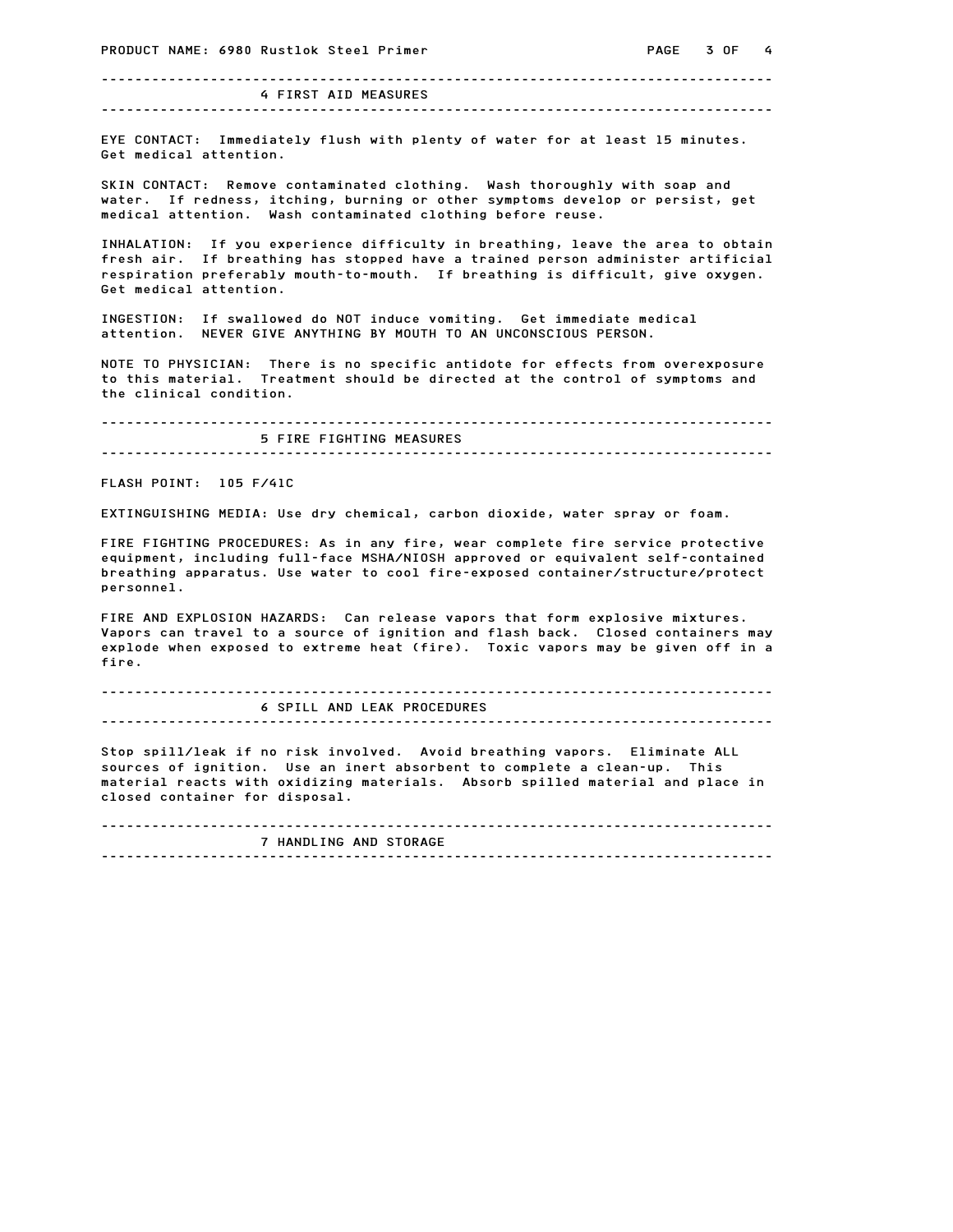-------------------------------------------------------------------------------- 4 FIRST AID MEASURES

--------------------------------------------------------------------------------

erection of the control of the state of the state of the control of the control of water for at least 15 minutes.<br>EYE CONTACT: Immediately flush with plenty of water for at least 15 minutes. ------------------------<br>EYE CONTACT: Immediately<br>Get medical attention. Get medical attention.<br>SKIN CONTACT: Remove contaminated clothing. Wash thoroughly with soap and

water. If redness, itching, burning or other symptoms develop or persist, get medical attention. Wash contaminated clothing before reuse. water. It redness, Itching, burning or other symptoms develop or persist, get<br>medical attention. Wash contaminated clothing before reuse.<br>INHALATION: If you experience difficulty in breathing, leave the area to obtain

medical attention. Wash contaminated clotning before reuse.<br>INHALATION: If you experience difficulty in breathing, leave the area to obtain<br>fresh air. If breathing has stopped have a trained person administer artificial INHALATION: If you experience difficulty in breathing, leave the area to obtain<br>fresh air. If breathing has stopped have a trained person administer artificial<br>respiration preferably mouth-to-mouth. If breathing is difficu INHALATION: IT you experfiesh air. If breathing<br>respiration preferably mo<br>Get medical attention. Get medical attention.<br>INGESTION: If swallowed do NOT induce vomiting. Get immediate medical

attention. NEVER GIVE ANYTHING BY MOUTH TO AN UNCONSCIOUS PERSON.

NOTE TO PHYSICIAN: There is no specific antidote for effects from overexposure attention. Never give antifing by mouth to an onconscious ferson.<br>NOTE TO PHYSICIAN: There is no specific antidote for effects from overexposure<br>to this material. Treatment should be directed at the control of symptoms and NOTE TO PHYSICIAN: There<br>to this material. Treatme<br>the clinical condition.

-------------------------------------------------------------------------------- 100.<br>----------------------------<br>5 FIRE FIGHTING MEASURES -------------------------------------------------------------------------------- FLASH POINT: 105 F/41C

EXTINGUISHING MEDIA: Use dry chemical, carbon dioxide, water spray or foam.

EXTINGUISHING MEDIA: Use dry chemical, carbon dioxide, water spray or foam.<br>FIRE FIGHTING PROCEDURES: As in any fire, wear complete fire service protective exitive dishing media: use any chemical, cardon dioxide, water spray or foam.<br>FIRE FIGHTING PROCEDURES: As in any fire, wear complete fire service protective<br>equipment, including full-face MSHA/NIOSH approved or equivalent FIRE FIGHTING PROCEDURES: As in any fire, wear complete fire service protective<br>equipment, including full-face MSHA/NIOSH approved or equivalent self-contained<br>breathing apparatus. Use water to cool fire-exposed container/ personnel. breathing apparatus. Use water to cool fire-exposed container/structure/protect<br>personnel.<br>FIRE AND EXPLOSION HAZARDS: Can release vapors that form explosive mixtures.

Vapors can travel to a source of ignition and flash back. Closed containers may explode when exposed to extreme heat (fire). Toxic vapors may be given off in a fire.

## -------------------------------------------------------------------------------- 6 SPILL AND LEAK PROCEDURES

--------------------------------------------------------------------------------

o srill AND LEAK PROCEDORES<br>Stop spill/leak if no risk involved. Avoid breathing vapors. Eliminate ALL<br>All and the complete arguments of the complete arguments of the complete arguments of the complete arguments of sources of ignition. Use an inert absorbent to complete a clean-up. This sources of ignition. Use an inert absorbent to complete a clean-up. This Stop spill/leak if no risk involved. Avoid breathing vapors. Eliminate ALL<br>sources of ignition. Use an inert absorbent to complete a clean–up. This<br>material reacts with oxidizing materials. Absorb spilled material and sources of ignition. Use an inert absorbent to complete a clean-up. This<br>material reacts with oxidizing materials. Absorb spilled material and place in<br>closed container for disposal.

------------------------------------------------------------------------------- r disposai.<br>--------------------------<br>7 HANDLING AND STORAGE --------------------------------------------------------------------------------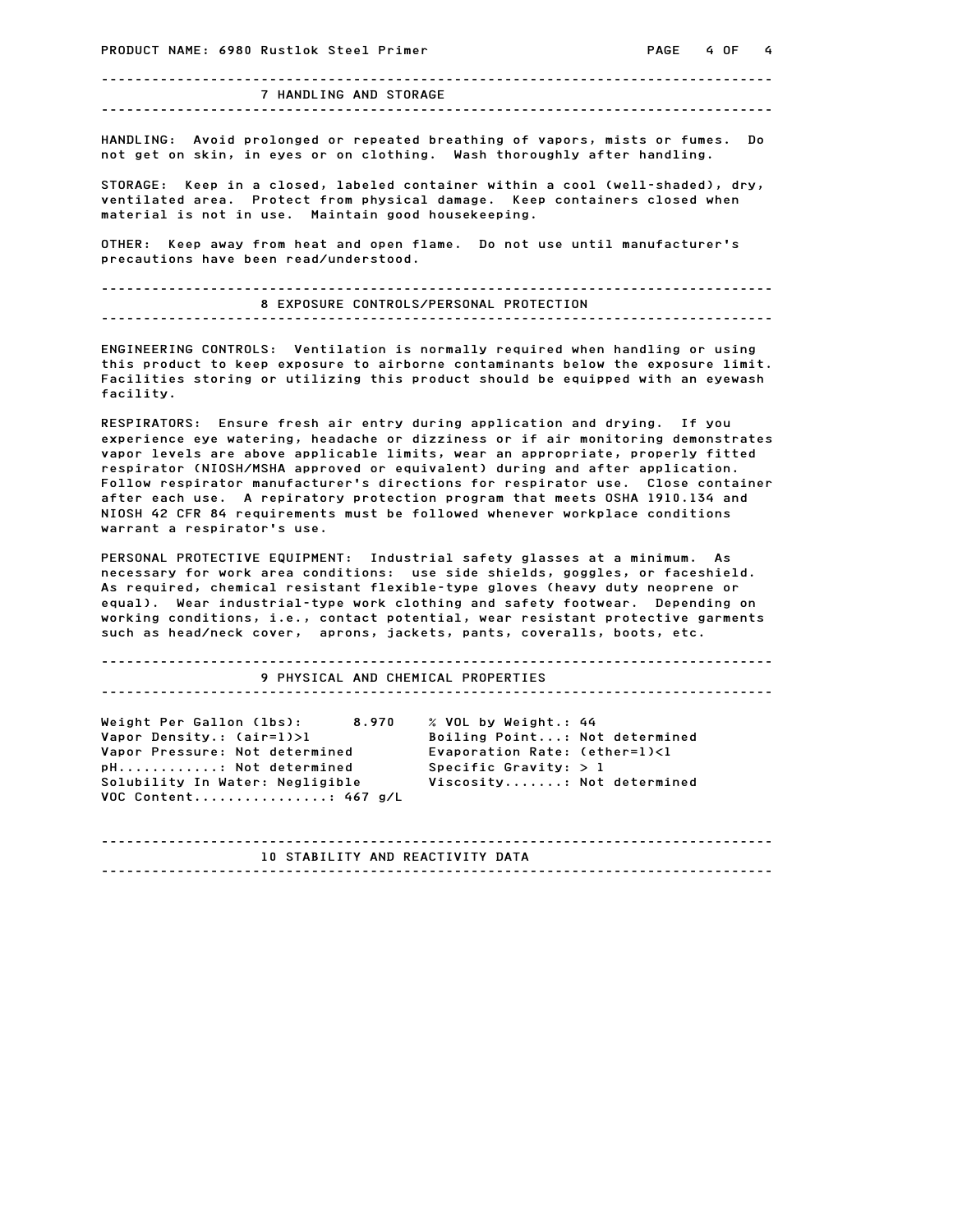-------------------------------------------------------------------------------- 7 HANDLING AND STORAGE --------------------------------------------------------------------------------

HANDLING: Avoid prolonged or repeated breathing of vapors, mists or fumes. Do not get on skin the gettor constant in the set of the set of the skin of the skin.<br>HANDLING: Avoid prolonged or repeated breathing of vapors, mists or fumes.<br>not get on skin, in eyes or on clothing. Wash thoroughly after

not get on skin, in eyes or on clothing. Wash thoroughly after handling.<br>STORAGE: Keep in a closed, labeled container within a cool (well-shaded), dry, ventilated area. Protect from physical damage. Keep containers closed when material is not in use. Maintain good housekeeping. ventilated area. Frotect from physical damage. Keep containers closed when<br>material is not in use. Maintain good housekeeping.<br>OTHER: Keep away from heat and open flame. Do not use until manufacturer's

material is not in use. maintain good no<br>OTHER: Keep away from heat and open flam<br>precautions have been read/understood.

-------------------------------------------------------------------------------- 8 EXPOSURE CONTROLS/PERSONAL PROTECTION -------------------------------------------------------------------------------- ENFUSURE CUNTROLS/PERSUNAL PRUTECTION<br>ENGINEERING CONTROLS: Ventilation is normally required when handling or using<br>this control to the total of the third of the thing or using

this product to keep exposure to airborne contaminants below the exposure limit.<br>This product to keep exposure to airborne contaminants below the exposure limit. this product to keep exposure to airborne contaminants below the exposure limit.<br>Facilities storing or utilizing this product should be equipped with an eyewash facility.

RESPIRATORS: Ensure fresh air entry during application and drying. If you experience eye watering, headache or dizziness or if air monitoring demonstrates RESPIRATORS: Ensure fresh air entry during application and drying. If you<br>experience eye watering, headache or dizziness or if air monitoring demonstrates<br>vapor levels are above applicable limits, wear an appropriate, prop respirations: Ensure fresh air entry during application and drying. If you<br>experience eye watering, headache or dizziness or if air monitoring demonstrate<br>vapor levels are above applicable limits, wear an appropriate, prop experience eye watering, neadache or dizziness or it air monitoring demonstrates<br>vapor levels are above applicable limits, wear an appropriate, properly fitted<br>respirator (NIOSH/MSHA approved or equivalent) during and afte vapor levels are above applicable limits, wear an appropriate, properly fitted<br>respirator (NIOSH/MSHA approved or equivalent) during and after application.<br>Follow respirator manufacturer's directions for respirator use. Cl respirator (Wilsh/MSHA approved or equivalent) during and arter application.<br>Follow respirator manufacturer's directions for respirator use. Close contain<br>after each use. A repiratory protection program that meets OSHA 191 after each use. A repiratory protection program that meets OSHA 1910.134 and<br>NIOSH 42 CFR 84 requirements must be followed whenever workplace conditions<br>warrant a respirator's use.

PERSONAL PROTECTIVE EQUIPMENT: Industrial safety glasses at a minimum. As necessary for work area conditions: use side shields, goggles, or faceshield. PERSONAL PROTECTIVE EQUIPMENT: Industrial safety glasses at a minimum. As<br>necessary for work area conditions: use side shields, goggles, or faceshield.<br>As required, chemical resistant flexible-type gloves (heavy duty neopr reksunal rkuletiive equirment: Industrial safety glasses at a minimum. As<br>necessary for work area conditions: use side shields, goggles, or faceshield.<br>As required, chemical resistant flexible–type gloves (heavy duty neopr necessary for work area conditions: "use side shields, goggies, or faceshield.<br>As required, chemical resistant flexible-type gloves (heavy duty neoprene or<br>equal). Wear industrial-type work clothing and safety footwear. De equal). Wear industrial-type work clothing and safety footwear. Depending on<br>working conditions, i.e., contact potential, wear resistant protective garments such as head/neck cover, aprons, jackets, pants, coveralls, boots, etc.

| 9 PHYSICAL AND CHEMICAL PROPERTIES |                               |  |  |  |  |  |
|------------------------------------|-------------------------------|--|--|--|--|--|
|                                    |                               |  |  |  |  |  |
| 8.970<br>Weight Per Gallon (lbs):  | % VOL by Weight.: 44          |  |  |  |  |  |
| Vapor Density.: (air=1)>1          | Boiling Point: Not determined |  |  |  |  |  |
| Vapor Pressure: Not determined     | Evaporation Rate: (ether=1)<1 |  |  |  |  |  |
| pH: Not determined                 | Specific Gravity: $> 1$       |  |  |  |  |  |
| Solubility In Water: Negligible    | Viscosity: Not determined     |  |  |  |  |  |
| VOC Content 467 g/L                |                               |  |  |  |  |  |
|                                    |                               |  |  |  |  |  |
|                                    |                               |  |  |  |  |  |
|                                    |                               |  |  |  |  |  |
| 10 STABILITY AND REACTIVITY DATA   |                               |  |  |  |  |  |

--------------------------------------------------------------------------------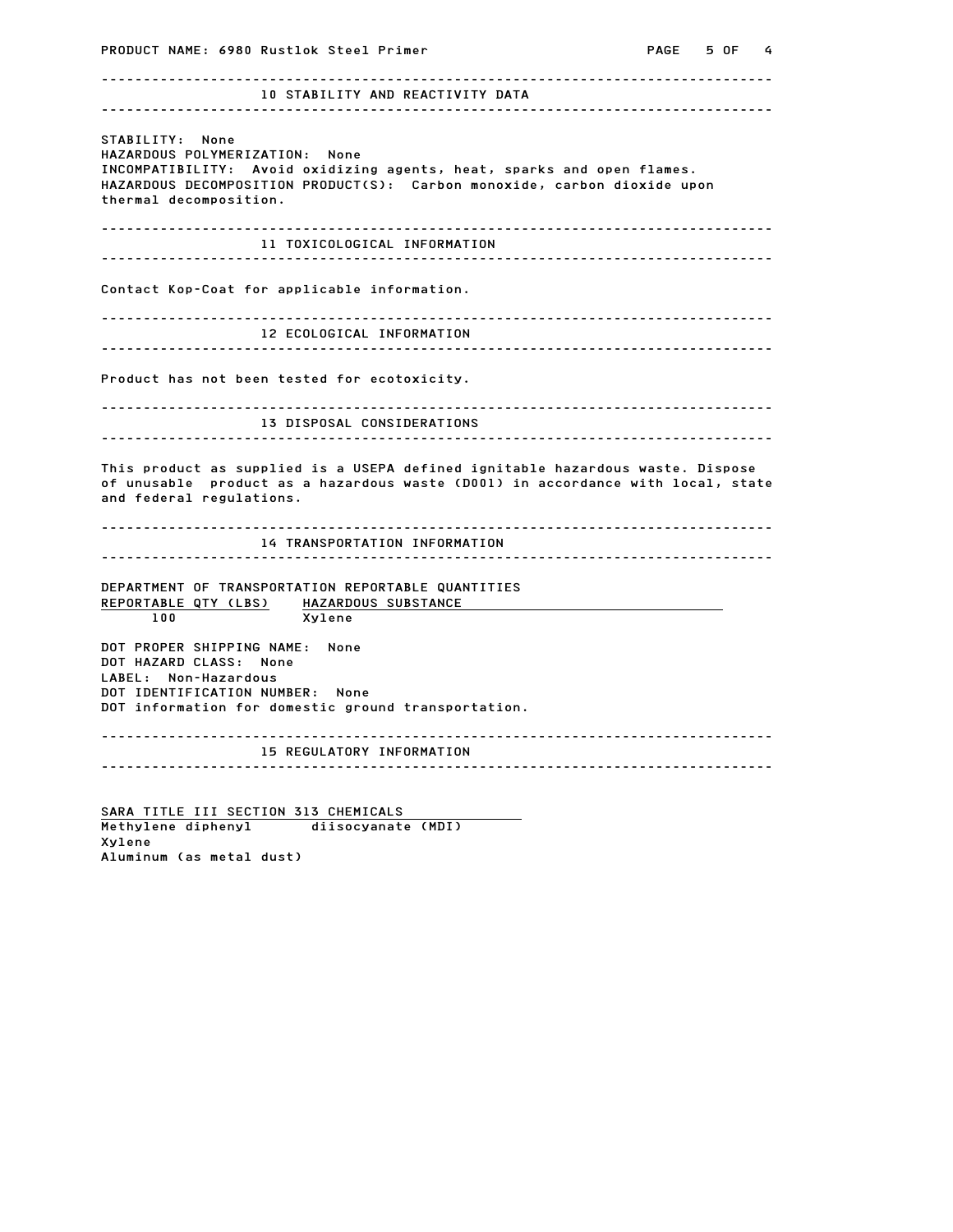PRODUCT NAME: 6980 Rustlok Steel Primer Carries and Manuscriptus PAGE 5 OF 4 -------------------------------------------------------------------------------- 10 STABILITY AND REACTIVITY DATA -------------------------------------------------------------------------------- STABILITY: None HAZARDOUS POLYMERIZATION: None STABILITY: None<br>HAZARDOUS POLYMERIZATION: None<br>INCOMPATIBILITY: Avoid oxidizing agents, heat, sparks and open flames. STABILITY: NONE<br>HAZARDOUS POLYMERIZATION: None<br>INCOMPATIBILITY: Avoid oxidizing agents, heat, sparks and open flames.<br>HAZARDOUS DECOMPOSITION PRODUCT(S): Carbon monoxide, carbon dioxide upon HAZARDOUS POLIMERIZATION:<br>INCOMPATIBILITY: Avoid o<br>HAZARDOUS DECOMPOSITION P<br>thermal decomposition. -------------------------------------------------------------------------------- 11 TOXICOLOGICAL INFORMATION -------------------------------------------------------------------------------- Contact Kop-Coat for applicable information. -------------------------------------------------------------------------------- 12 ECOLOGICAL INFORMATION -------------------------------------------------------------------------------- Product has not been tested for ecotoxicity. -------------------------------------------------------------------------------- 13 DISPOSAL CONSIDERATIONS -------------------------------------------------------------------------------- THE IS DISFUSAL CONSIDERATIONS<br>This product as supplied is a USEPA defined ignitable hazardous waste. Dispose of unusable product as a hazardous waste (D001) in accordance with local, state This product as supplied is<br>of unusable product as a h<br>and federal regulations. -------------------------------------------------------------------------------- 14 TRANSPORTATION INFORMATION -------------------------------------------------------------------------------- DEPARTMENT OF TRANSPORTATION REPORTABLE QUANTITIES REPORTABLE QTY (LBS) HAZARDOUS SUBSTANCE<br>100<br>Xylene Xylene <u>REPURTABLE QTT (LBS)</u><br>100 Xylene<br>DOT PROPER SHIPPING NAME: None TOO<br>DOT PROPER SHIPPING NAME:<br>DOT HAZARD CLASS: None DOT PROPER SHIPPING NAME<br>DOT HAZARD CLASS: None<br>LABEL: Non-Hazardous DOT HAZARD CLASS: None<br>LABEL: Non-Hazardous<br>DOT IDENTIFICATION NUMBER: None DOT information for domestic ground transportation. -------------------------------------------------------------------------------- 15 REGULATORY INFORMATION --------------------------------------------------------------------------------

SARA TITLE III SECTION 313 CHEMICALS SARA TITLE III SECTION 313 CHEMICALS<br>Methylene diphenyl diisocyanate (MDI) Xylene SARA TITLE III SECTION 3<br>Methylene diphenyl<br>Xylene<br>Aluminum (as metal dust)